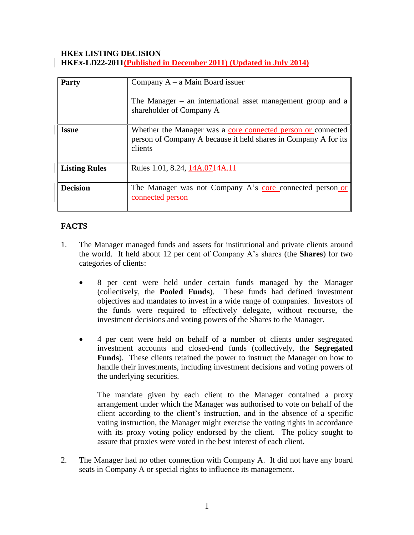### **HKEx LISTING DECISION HKEx-LD22-2011(Published in December 2011) (Updated in July 2014)**

| <b>Party</b>         | Company $A - a$ Main Board issuer<br>The Manager $-$ an international asset management group and a<br>shareholder of Company A             |
|----------------------|--------------------------------------------------------------------------------------------------------------------------------------------|
| <b>Issue</b>         | Whether the Manager was a core connected person or connected<br>person of Company A because it held shares in Company A for its<br>clients |
| <b>Listing Rules</b> | Rules 1.01, 8.24, 14A.0744A.14                                                                                                             |
| <b>Decision</b>      | The Manager was not Company A's core connected person or<br>connected person                                                               |

# **FACTS**

- 1. The Manager managed funds and assets for institutional and private clients around the world. It held about 12 per cent of Company A's shares (the **Shares**) for two categories of clients:
	- 8 per cent were held under certain funds managed by the Manager (collectively, the **Pooled Funds**). These funds had defined investment objectives and mandates to invest in a wide range of companies. Investors of the funds were required to effectively delegate, without recourse, the investment decisions and voting powers of the Shares to the Manager.
	- 4 per cent were held on behalf of a number of clients under segregated investment accounts and closed-end funds (collectively, the **Segregated Funds**). These clients retained the power to instruct the Manager on how to handle their investments, including investment decisions and voting powers of the underlying securities.

The mandate given by each client to the Manager contained a proxy arrangement under which the Manager was authorised to vote on behalf of the client according to the client's instruction, and in the absence of a specific voting instruction, the Manager might exercise the voting rights in accordance with its proxy voting policy endorsed by the client. The policy sought to assure that proxies were voted in the best interest of each client.

2. The Manager had no other connection with Company A. It did not have any board seats in Company A or special rights to influence its management.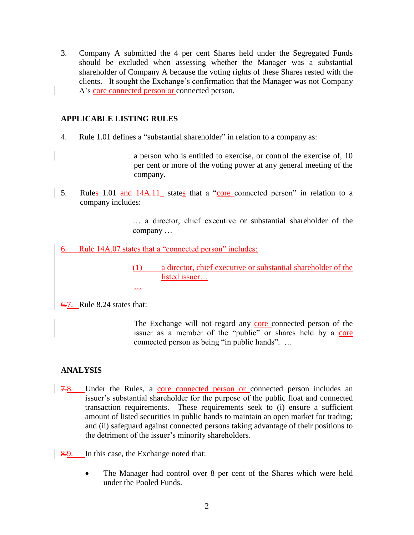3. Company A submitted the 4 per cent Shares held under the Segregated Funds should be excluded when assessing whether the Manager was a substantial shareholder of Company A because the voting rights of these Shares rested with the clients. It sought the Exchange's confirmation that the Manager was not Company A's core connected person or connected person.

### **APPLICABLE LISTING RULES**

4. Rule 1.01 defines a "substantial shareholder" in relation to a company as:

a person who is entitled to exercise, or control the exercise of, 10 per cent or more of the voting power at any general meeting of the company.

5. Rules 1.01 and 14A.11 states that a "core connected person" in relation to a company includes:

> … a director, chief executive or substantial shareholder of the company …

6. Rule 14A.07 states that a "connected person" includes:

…

(1) a director, chief executive or substantial shareholder of the listed issuer…

6.7. Rule 8.24 states that:

The Exchange will not regard any core connected person of the issuer as a member of the "public" or shares held by a core connected person as being "in public hands". …

## **ANALYSIS**

- 7.8. Under the Rules, a core connected person or connected person includes an issuer's substantial shareholder for the purpose of the public float and connected transaction requirements. These requirements seek to (i) ensure a sufficient amount of listed securities in public hands to maintain an open market for trading; and (ii) safeguard against connected persons taking advantage of their positions to the detriment of the issuer's minority shareholders.
- 8.9. In this case, the Exchange noted that:
	- The Manager had control over 8 per cent of the Shares which were held under the Pooled Funds.